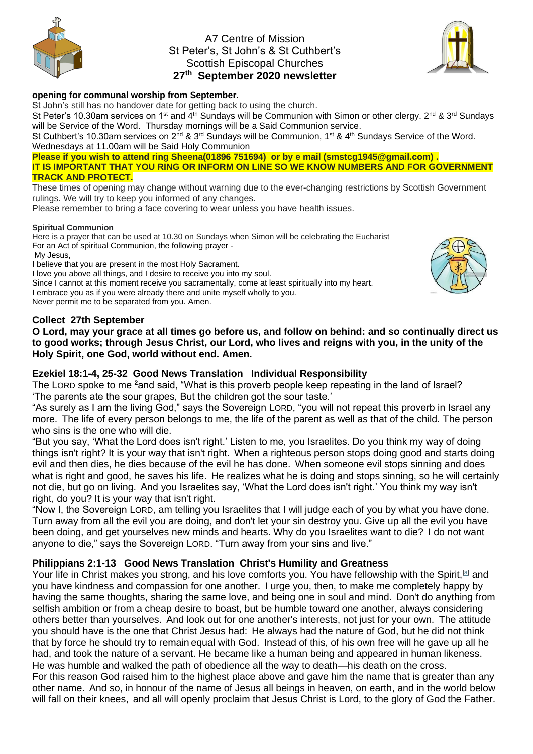

# A7 Centre of Mission St Peter's, St John's & St Cuthbert's Scottish Episcopal Churches **27 th September 2020 newsletter**



#### **opening for communal worship from September.**

St John's still has no handover date for getting back to using the church.

St Peter's 10.30am services on 1<sup>st</sup> and 4<sup>th</sup> Sundays will be Communion with Simon or other clergy. 2<sup>nd</sup> & 3<sup>rd</sup> Sundays will be Service of the Word. Thursday mornings will be a Said Communion service.

St Cuthbert's 10.30am services on 2<sup>nd</sup> & 3<sup>rd</sup> Sundays will be Communion, 1<sup>st</sup> & 4<sup>th</sup> Sundays Service of the Word. Wednesdays at 11.00am will be Said Holy Communion

**Please if you wish to attend ring Sheena(01896 751694) or by e mail (smstcg1945@gmail.com).** 

**IT IS IMPORTANT THAT YOU RING OR INFORM ON LINE SO WE KNOW NUMBERS AND FOR GOVERNMENT TRACK AND PROTECT.**

These times of opening may change without warning due to the ever-changing restrictions by Scottish Government rulings. We will try to keep you informed of any changes.

Please remember to bring a face covering to wear unless you have health issues.

#### **Spiritual Communion**

Here is a prayer that can be used at 10.30 on Sundays when Simon will be celebrating the Eucharist For an Act of spiritual Communion, the following prayer -

My Jesus,

I believe that you are present in the most Holy Sacrament.

I love you above all things, and I desire to receive you into my soul.

Since I cannot at this moment receive you sacramentally, come at least spiritually into my heart.

I embrace you as if you were already there and unite myself wholly to you.

Never permit me to be separated from you. Amen.

## **Collect 27th September**

**O Lord, may your grace at all times go before us, and follow on behind: and so continually direct us to good works; through Jesus Christ, our Lord, who lives and reigns with you, in the unity of the Holy Spirit, one God, world without end. Amen.**

## **Ezekiel 18:1-4, 25-32 Good News Translation Individual Responsibility**

The LORD spoke to me **<sup>2</sup>**and said, "What is this proverb people keep repeating in the land of Israel? 'The parents ate the sour grapes, But the children got the sour taste.'

"As surely as I am the living God," says the Sovereign LORD, "you will not repeat this proverb in Israel any more. The life of every person belongs to me, the life of the parent as well as that of the child. The person who sins is the one who will die.

"But you say, 'What the Lord does isn't right.' Listen to me, you Israelites. Do you think my way of doing things isn't right? It is your way that isn't right. When a righteous person stops doing good and starts doing evil and then dies, he dies because of the evil he has done. When someone evil stops sinning and does what is right and good, he saves his life. He realizes what he is doing and stops sinning, so he will certainly not die, but go on living. And you Israelites say, 'What the Lord does isn't right.' You think my way isn't right, do you? It is your way that isn't right.

"Now I, the Sovereign LORD, am telling you Israelites that I will judge each of you by what you have done. Turn away from all the evil you are doing, and don't let your sin destroy you. Give up all the evil you have been doing, and get yourselves new minds and hearts. Why do you Israelites want to die? I do not want anyone to die," says the Sovereign LORD. "Turn away from your sins and live."

## **Philippians 2:1-13 Good News Translation Christ's Humility and Greatness**

Your life in Christ makes you strong, and his love comforts you. You have fellowship with the Spirit, <sup>[\[a\]](https://www.biblegateway.com/passage/?search=Philippians+2%3A+1-13&version=GNT#fen-GNT-32418a)</sup> and you have kindness and compassion for one another. I urge you, then, to make me completely happy by having the same thoughts, sharing the same love, and being one in soul and mind. Don't do anything from selfish ambition or from a cheap desire to boast, but be humble toward one another, always considering others better than yourselves. And look out for one another's interests, not just for your own. The attitude you should have is the one that Christ Jesus had: He always had the nature of God, but he did not think that by force he should try to remain equal with God. Instead of this, of his own free will he gave up all he had, and took the nature of a servant. He became like a human being and appeared in human likeness. He was humble and walked the path of obedience all the way to death—his death on the cross. For this reason God raised him to the highest place above and gave him the name that is greater than any other name. And so, in honour of the name of Jesus all beings in heaven, on earth, and in the world below will fall on their knees, and all will openly proclaim that Jesus Christ is Lord, to the glory of God the Father.

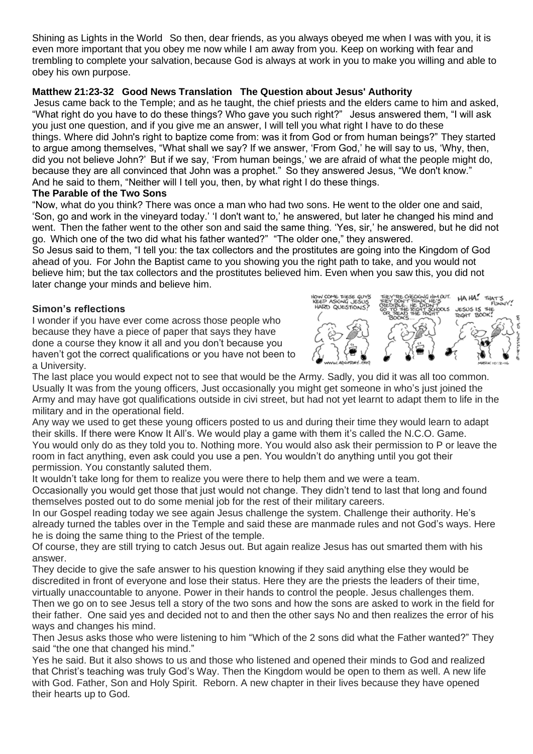Shining as Lights in the World So then, dear friends, as you always obeyed me when I was with you, it is even more important that you obey me now while I am away from you. Keep on working with fear and trembling to complete your salvation, because God is always at work in you to make you willing and able to obey his own purpose.

# **Matthew 21:23-32 Good News Translation The Question about Jesus' Authority**

Jesus came back to the Temple; and as he taught, the chief priests and the elders came to him and asked, "What right do you have to do these things? Who gave you such right?" Jesus answered them, "I will ask you just one question, and if you give me an answer, I will tell you what right I have to do these things. Where did John's right to baptize come from: was it from God or from human beings?" They started to argue among themselves, "What shall we say? If we answer, 'From God,' he will say to us, 'Why, then, did you not believe John?' But if we say, 'From human beings,' we are afraid of what the people might do, because they are all convinced that John was a prophet." So they answered Jesus, "We don't know." And he said to them, "Neither will I tell you, then, by what right I do these things.

## **The Parable of the Two Sons**

"Now, what do you think? There was once a man who had two sons. He went to the older one and said, 'Son, go and work in the vineyard today.' 'I don't want to,' he answered, but later he changed his mind and went. Then the father went to the other son and said the same thing. 'Yes, sir,' he answered, but he did not go. Which one of the two did what his father wanted?" "The older one," they answered.

So Jesus said to them, "I tell you: the tax collectors and the prostitutes are going into the Kingdom of God ahead of you. For John the Baptist came to you showing you the right path to take, and you would not believe him; but the tax collectors and the prostitutes believed him. Even when you saw this, you did not later change your minds and believe him.

# **Simon's reflections**

I wonder if you have ever come across those people who because they have a piece of paper that says they have done a course they know it all and you don't because you haven't got the correct qualifications or you have not been to a University.



The last place you would expect not to see that would be the Army. Sadly, you did it was all too common. Usually It was from the young officers, Just occasionally you might get someone in who's just joined the Army and may have got qualifications outside in civi street, but had not yet learnt to adapt them to life in the military and in the operational field.

Any way we used to get these young officers posted to us and during their time they would learn to adapt their skills. If there were Know It All's. We would play a game with them it's called the N.C.O. Game. You would only do as they told you to. Nothing more. You would also ask their permission to P or leave the room in fact anything, even ask could you use a pen. You wouldn't do anything until you got their permission. You constantly saluted them.

It wouldn't take long for them to realize you were there to help them and we were a team.

Occasionally you would get those that just would not change. They didn't tend to last that long and found themselves posted out to do some menial job for the rest of their military careers.

In our Gospel reading today we see again Jesus challenge the system. Challenge their authority. He's already turned the tables over in the Temple and said these are manmade rules and not God's ways. Here he is doing the same thing to the Priest of the temple.

Of course, they are still trying to catch Jesus out. But again realize Jesus has out smarted them with his answer.

They decide to give the safe answer to his question knowing if they said anything else they would be discredited in front of everyone and lose their status. Here they are the priests the leaders of their time, virtually unaccountable to anyone. Power in their hands to control the people. Jesus challenges them.

Then we go on to see Jesus tell a story of the two sons and how the sons are asked to work in the field for their father. One said yes and decided not to and then the other says No and then realizes the error of his ways and changes his mind.

Then Jesus asks those who were listening to him "Which of the 2 sons did what the Father wanted?" They said "the one that changed his mind."

Yes he said. But it also shows to us and those who listened and opened their minds to God and realized that Christ's teaching was truly God's Way. Then the Kingdom would be open to them as well. A new life with God. Father, Son and Holy Spirit. Reborn. A new chapter in their lives because they have opened their hearts up to God.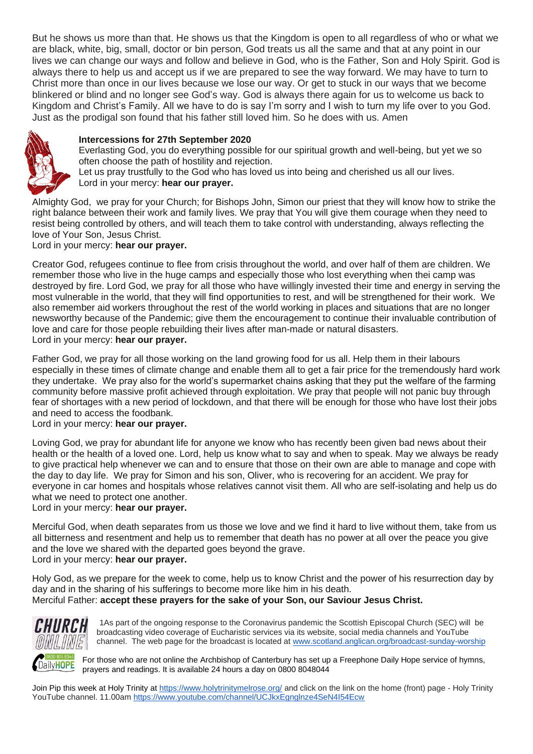But he shows us more than that. He shows us that the Kingdom is open to all regardless of who or what we are black, white, big, small, doctor or bin person, God treats us all the same and that at any point in our lives we can change our ways and follow and believe in God, who is the Father, Son and Holy Spirit. God is always there to help us and accept us if we are prepared to see the way forward. We may have to turn to Christ more than once in our lives because we lose our way. Or get to stuck in our ways that we become blinkered or blind and no longer see God's way. God is always there again for us to welcome us back to Kingdom and Christ's Family. All we have to do is say I'm sorry and I wish to turn my life over to you God. Just as the prodigal son found that his father still loved him. So he does with us. Amen



#### **Intercessions for 27th September 2020**

Everlasting God, you do everything possible for our spiritual growth and well-being, but yet we so often choose the path of hostility and rejection.

Let us pray trustfully to the God who has loved us into being and cherished us all our lives. Lord in your mercy: **hear our prayer.**

Almighty God, we pray for your Church; for Bishops John, Simon our priest that they will know how to strike the right balance between their work and family lives. We pray that You will give them courage when they need to resist being controlled by others, and will teach them to take control with understanding, always reflecting the love of Your Son, Jesus Christ.

Lord in your mercy: **hear our prayer.**

Creator God, refugees continue to flee from crisis throughout the world, and over half of them are children. We remember those who live in the huge camps and especially those who lost everything when thei camp was destroyed by fire. Lord God, we pray for all those who have willingly invested their time and energy in serving the most vulnerable in the world, that they will find opportunities to rest, and will be strengthened for their work. We also remember aid workers throughout the rest of the world working in places and situations that are no longer newsworthy because of the Pandemic; give them the encouragement to continue their invaluable contribution of love and care for those people rebuilding their lives after man-made or natural disasters. Lord in your mercy: **hear our prayer.**

Father God, we pray for all those working on the land growing food for us all. Help them in their labours especially in these times of climate change and enable them all to get a fair price for the tremendously hard work they undertake. We pray also for the world's supermarket chains asking that they put the welfare of the farming community before massive profit achieved through exploitation. We pray that people will not panic buy through fear of shortages with a new period of lockdown, and that there will be enough for those who have lost their jobs and need to access the foodbank.

#### Lord in your mercy: **hear our prayer.**

Loving God, we pray for abundant life for anyone we know who has recently been given bad news about their health or the health of a loved one. Lord, help us know what to say and when to speak. May we always be ready to give practical help whenever we can and to ensure that those on their own are able to manage and cope with the day to day life. We pray for Simon and his son, Oliver, who is recovering for an accident. We pray for everyone in car homes and hospitals whose relatives cannot visit them. All who are self-isolating and help us do what we need to protect one another.

Lord in your mercy: **hear our prayer.**

Merciful God, when death separates from us those we love and we find it hard to live without them, take from us all bitterness and resentment and help us to remember that death has no power at all over the peace you give and the love we shared with the departed goes beyond the grave. Lord in your mercy: **hear our prayer.**

Holy God, as we prepare for the week to come, help us to know Christ and the power of his resurrection day by day and in the sharing of his sufferings to become more like him in his death. Merciful Father: **accept these prayers for the sake of your Son, our Saviour Jesus Christ.**



1As part of the ongoing response to the Coronavirus pandemic the Scottish Episcopal Church (SEC) will be broadcasting video coverage of Eucharistic services via its website, social media channels and YouTube channel. The web page for the broadcast is located at [www.scotland.anglican.org/broadcast-sunday-worship](http://www.scotland.anglican.org/broadcast-sunday-worship)

For those who are not online the Archbishop of Canterbury has set up a Freephone Daily Hope service of hymns, prayers and readings. It is available 24 hours a day on 0800 8048044

Join Pip this week at Holy Trinity at<https://www.holytrinitymelrose.org/> and click on the link on the home (front) page - Holy Trinity YouTube channel. 11.00am<https://www.youtube.com/channel/UCJkxEgnglnze4SeN4I54Ecw>